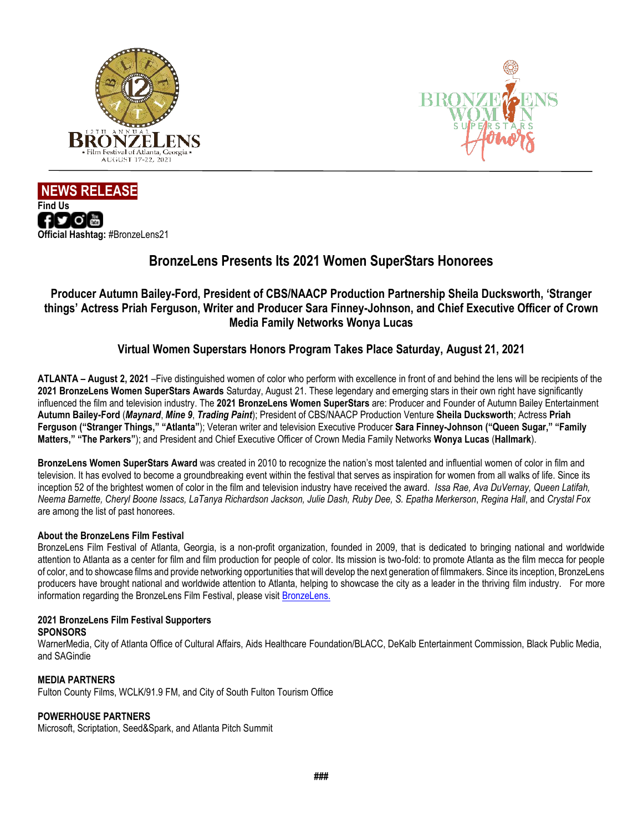





# **BronzeLens Presents Its 2021 Women SuperStars Honorees**

## **Producer Autumn Bailey-Ford, President of CBS/NAACP Production Partnership Sheila Ducksworth, 'Stranger things' Actress Priah Ferguson, Writer and Producer Sara Finney-Johnson, and Chief Executive Officer of Crown Media Family Networks Wonya Lucas**

## **Virtual Women Superstars Honors Program Takes Place Saturday, August 21, 2021**

**ATLANTA – August 2, 2021** –Five distinguished women of color who perform with excellence in front of and behind the lens will be recipients of the **2021 BronzeLens Women SuperStars Awards** Saturday, August 21. These legendary and emerging stars in their own right have significantly influenced the film and television industry. The **2021 BronzeLens Women SuperStars** are: Producer and Founder of Autumn Bailey Entertainment **Autumn Bailey-Ford** (*Maynard*, *Mine 9*, *Trading Paint*); President of CBS/NAACP Production Venture **Sheila Ducksworth**; Actress **Priah Ferguson ("Stranger Things," "Atlanta"**); Veteran writer and television Executive Producer **Sara Finney-Johnson ("Queen Sugar," "Family Matters," "The Parkers"**); and President and Chief Executive Officer of Crown Media Family Networks **Wonya Lucas** (**Hallmark**).

**BronzeLens Women SuperStars Award** was created in 2010 to recognize the nation's most talented and influential women of color in film and television. It has evolved to become a groundbreaking event within the festival that serves as inspiration for women from all walks of life. Since its inception 52 of the brightest women of color in the film and television industry have received the award. *Issa Rae, Ava DuVernay, Queen Latifah, Neema Barnette, Cheryl Boone Issacs, LaTanya Richardson Jackson, Julie Dash, Ruby Dee, S. Epatha Merkerson*, *Regina Hall*, and *Crystal Fox* are among the list of past honorees.

## **About the Bronzel ens Film Festival**

BronzeLens Film Festival of Atlanta, Georgia, is a non-profit organization, founded in 2009, that is dedicated to bringing national and worldwide attention to Atlanta as a center for film and film production for people of color. Its mission is two-fold: to promote Atlanta as the film mecca for people of color, and to showcase films and provide networking opportunities that will develop the next generation of filmmakers. Since its inception, BronzeLens producers have brought national and worldwide attention to Atlanta, helping to showcase the city as a leader in the thriving film industry. For more information regarding the BronzeLens Film Festival, please visit [BronzeLens.](https://bronzelens.com/)

#### **2021 BronzeLens Film Festival Supporters SPONSORS**

WarnerMedia, City of Atlanta Office of Cultural Affairs, Aids Healthcare Foundation/BLACC, DeKalb Entertainment Commission, Black Public Media, and SAGindie

## **MEDIA PARTNERS**

Fulton County Films, WCLK/91.9 FM, and City of South Fulton Tourism Office

## **POWERHOUSE PARTNERS**

Microsoft, Scriptation, Seed&Spark, and Atlanta Pitch Summit